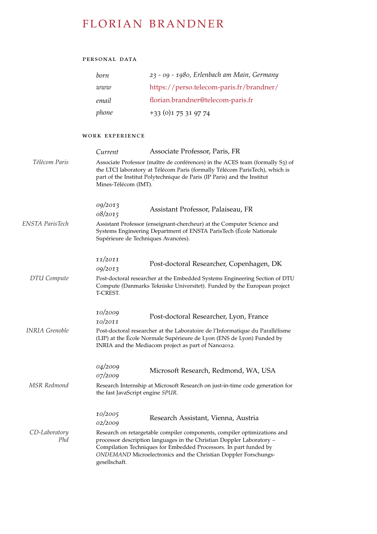# FLORIAN BRANDNER

# personal data

| born  | 23 - 09 - 1980, Erlenbach am Main, Germany |
|-------|--------------------------------------------|
| www   | https://perso.telecom-paris.fr/brandner/   |
| email | florian.brandner@telecom-paris.fr          |
| phone | $+33$ (0)1 75 31 97 74                     |

# work experience

|                       | Current            | Associate Professor, Paris, FR                                                                                                                                                                                                                                                            |  |  |  |
|-----------------------|--------------------|-------------------------------------------------------------------------------------------------------------------------------------------------------------------------------------------------------------------------------------------------------------------------------------------|--|--|--|
| Télécom Paris         |                    | Associate Professor (maître de conférences) in the ACES team (formally S3) of<br>the LTCI laboratory at Télécom Paris (formally Télécom ParisTech), which is<br>part of the Institut Polytechnique de Paris (IP Paris) and the Institut<br>Mines-Télécom (IMT).                           |  |  |  |
|                       | 09/2013<br>08/2015 | Assistant Professor, Palaiseau, FR                                                                                                                                                                                                                                                        |  |  |  |
| ENSTA ParisTech       |                    | Assistant Professor (enseignant-chercheur) at the Computer Science and<br>Systems Engineering Department of ENSTA ParisTech (École Nationale<br>Supérieure de Techniques Avancées).                                                                                                       |  |  |  |
|                       | 11/2011<br>09/2013 | Post-doctoral Researcher, Copenhagen, DK                                                                                                                                                                                                                                                  |  |  |  |
| <b>DTU</b> Compute    | T-CREST.           | Post-doctoral researcher at the Embedded Systems Engineering Section of DTU<br>Compute (Danmarks Tekniske Universitet). Funded by the European project                                                                                                                                    |  |  |  |
|                       | 10/2009<br>10/2011 | Post-doctoral Researcher, Lyon, France                                                                                                                                                                                                                                                    |  |  |  |
| <b>INRIA</b> Grenoble |                    | Post-doctoral researcher at the Laboratoire de l'Informatique du Parallélisme<br>(LIP) at the École Normale Supérieure de Lyon (ENS de Lyon) Funded by<br>INRIA and the Mediacom project as part of Nano2012.                                                                             |  |  |  |
|                       | 04/2009<br>07/2009 | Microsoft Research, Redmond, WA, USA                                                                                                                                                                                                                                                      |  |  |  |
| MSR Redmond           |                    | Research Internship at Microsoft Research on just-in-time code generation for<br>the fast JavaScript engine SPUR.                                                                                                                                                                         |  |  |  |
|                       | 10/2005<br>02/2009 | Research Assistant, Vienna, Austria                                                                                                                                                                                                                                                       |  |  |  |
| CD-Laboratory<br>Phd  | gesellschaft.      | Research on retargetable compiler components, compiler optimizations and<br>processor description languages in the Christian Doppler Laboratory -<br>Compilation Techniques for Embedded Processors. In part funded by<br>ONDEMAND Microelectronics and the Christian Doppler Forschungs- |  |  |  |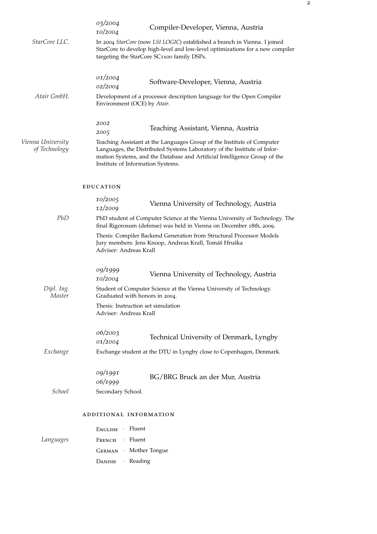|                                    | 03/2004<br>10/2004                                                                                                                                                                                                                                                   | Compiler-Developer, Vienna, Austria                                                                                                                                                                      |  |  |  |  |
|------------------------------------|----------------------------------------------------------------------------------------------------------------------------------------------------------------------------------------------------------------------------------------------------------------------|----------------------------------------------------------------------------------------------------------------------------------------------------------------------------------------------------------|--|--|--|--|
| StarCore LLC.                      |                                                                                                                                                                                                                                                                      | In 2004 StarCore (now LSI LOGIC) established a branch in Vienna. I joined<br>StarCore to develop high-level and low-level optimizations for a new compiler<br>targeting the StarCore SC1x00 family DSPs. |  |  |  |  |
|                                    | 01/2004<br>02/2004                                                                                                                                                                                                                                                   | Software-Developer, Vienna, Austria                                                                                                                                                                      |  |  |  |  |
| Atair GmbH.                        | Development of a processor description language for the Open Compiler<br>Environment (OCE) by Atair.                                                                                                                                                                 |                                                                                                                                                                                                          |  |  |  |  |
|                                    | 2002<br>2005                                                                                                                                                                                                                                                         | Teaching Assistant, Vienna, Austria                                                                                                                                                                      |  |  |  |  |
| Vienna University<br>of Technology | Teaching Assistant at the Languages Group of the Institute of Computer<br>Languages, the Distributed Systems Laboratory of the Institute of Infor-<br>mation Systems, and the Database and Artificial Intelligence Group of the<br>Institute of Information Systems. |                                                                                                                                                                                                          |  |  |  |  |
|                                    | <b>EDUCATION</b>                                                                                                                                                                                                                                                     |                                                                                                                                                                                                          |  |  |  |  |
|                                    | 10/2005<br>12/2009                                                                                                                                                                                                                                                   | Vienna University of Technology, Austria                                                                                                                                                                 |  |  |  |  |
| PhD                                |                                                                                                                                                                                                                                                                      | PhD student of Computer Science at the Vienna University of Technology. The<br>final Rigorosum (defense) was held in Vienna on December 18th, 2009.                                                      |  |  |  |  |
|                                    | Adviser: Andreas Krall                                                                                                                                                                                                                                               | Thesis: Compiler Backend Generation from Structural Processor Models<br>Jury members: Jens Knoop, Andreas Krall, Tomáŝ Hruŝka                                                                            |  |  |  |  |
|                                    | 09/1999<br>10/2004                                                                                                                                                                                                                                                   | Vienna University of Technology, Austria                                                                                                                                                                 |  |  |  |  |
| Dipl. Ing.<br>Master               |                                                                                                                                                                                                                                                                      | Student of Computer Science at the Vienna University of Technology.<br>Graduated with honors in 2004.                                                                                                    |  |  |  |  |
|                                    |                                                                                                                                                                                                                                                                      | Thesis: Instruction set simulation<br>Adviser: Andreas Krall                                                                                                                                             |  |  |  |  |
|                                    | 06/2003<br>01/2004                                                                                                                                                                                                                                                   | Technical University of Denmark, Lyngby                                                                                                                                                                  |  |  |  |  |
| Exchange                           |                                                                                                                                                                                                                                                                      | Exchange student at the DTU in Lyngby close to Copenhagen, Denmark.                                                                                                                                      |  |  |  |  |
|                                    | 09/1991<br>06/1999                                                                                                                                                                                                                                                   | BG/BRG Bruck an der Mur, Austria                                                                                                                                                                         |  |  |  |  |
| School                             | Secondary School.                                                                                                                                                                                                                                                    |                                                                                                                                                                                                          |  |  |  |  |
|                                    | ADDITIONAL INFORMATION                                                                                                                                                                                                                                               |                                                                                                                                                                                                          |  |  |  |  |
|                                    | ENGLISH · Fluent                                                                                                                                                                                                                                                     |                                                                                                                                                                                                          |  |  |  |  |
| Languages                          | FRENCH                                                                                                                                                                                                                                                               | · Fluent                                                                                                                                                                                                 |  |  |  |  |
|                                    | GERMAN · Mother Tongue                                                                                                                                                                                                                                               |                                                                                                                                                                                                          |  |  |  |  |
|                                    | · Reading<br><b>DANISH</b>                                                                                                                                                                                                                                           |                                                                                                                                                                                                          |  |  |  |  |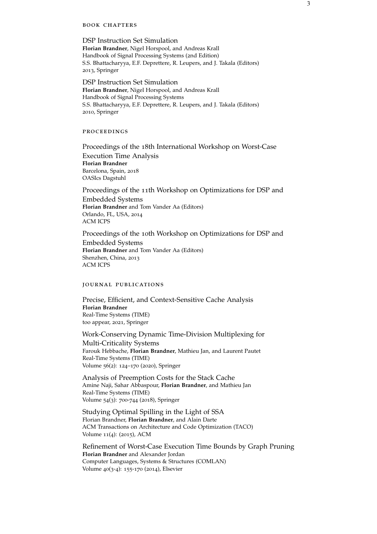#### book chapters

DSP Instruction Set Simulation **Florian Brandner**, Nigel Horspool, and Andreas Krall Handbook of Signal Processing Systems (2nd Edition) S.S. Bhattacharyya, E.F. Deprettere, R. Leupers, and J. Takala (Editors) 2013, Springer

DSP Instruction Set Simulation **Florian Brandner**, Nigel Horspool, and Andreas Krall Handbook of Signal Processing Systems S.S. Bhattacharyya, E.F. Deprettere, R. Leupers, and J. Takala (Editors) 2010, Springer

#### **PROCEEDINGS**

Proceedings of the 18th International Workshop on Worst-Case Execution Time Analysis **Florian Brandner** Barcelona, Spain, 2018 OASIcs Dagstuhl

Proceedings of the 11th Workshop on Optimizations for DSP and Embedded Systems **Florian Brandner** and Tom Vander Aa (Editors) Orlando, FL, USA, 2014 ACM ICPS

Proceedings of the 10th Workshop on Optimizations for DSP and Embedded Systems **Florian Brandner** and Tom Vander Aa (Editors) Shenzhen, China, 2013 ACM ICPS

#### journal publications

Precise, Efficient, and Context-Sensitive Cache Analysis **Florian Brandner** Real-Time Systems (TIME) too appear, 2021, Springer

Work-Conserving Dynamic Time-Division Multiplexing for

Multi-Criticality Systems Farouk Hebbache, **Florian Brandner**, Mathieu Jan, and Laurent Pautet Real-Time Systems (TIME) Volume 56(2): 124–170 (2020), Springer

Analysis of Preemption Costs for the Stack Cache Amine Naji, Sahar Abbaspour, **Florian Brandner**, and Mathieu Jan Real-Time Systems (TIME) Volume 54(3): 700-744 (2018), Springer

Studying Optimal Spilling in the Light of SSA Florian Brandner, **Florian Brandner**, and Alain Darte ACM Transactions on Architecture and Code Optimization (TACO) Volume 11(4): (2015), ACM

Refinement of Worst-Case Execution Time Bounds by Graph Pruning **Florian Brandner** and Alexander Jordan Computer Languages, Systems & Structures (COMLAN) Volume 40(3-4): 155-170 (2014), Elsevier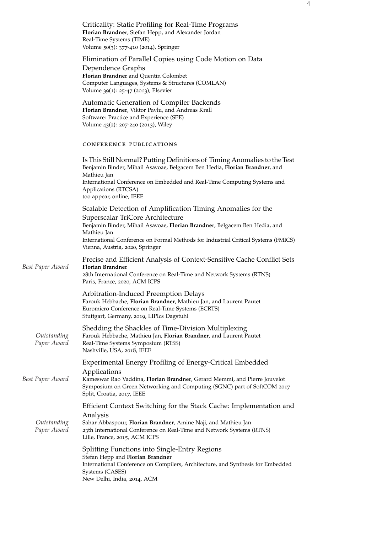Criticality: Static Profiling for Real-Time Programs **Florian Brandner**, Stefan Hepp, and Alexander Jordan Real-Time Systems (TIME) Volume 50(3): 377-410 (2014), Springer

# Elimination of Parallel Copies using Code Motion on Data

Dependence Graphs **Florian Brandner** and Quentin Colombet Computer Languages, Systems & Structures (COMLAN) Volume 39(1): 25-47 (2013), Elsevier

Automatic Generation of Compiler Backends **Florian Brandner**, Viktor Pavlu, and Andreas Krall Software: Practice and Experience (SPE) Volume 43(2): 207-240 (2013), Wiley

# conference publications

New Delhi, India, 2014, ACM

|                            | Is This Still Normal? Putting Definitions of Timing Anomalies to the Test<br>Benjamin Binder, Mihail Asavoae, Belgacem Ben Hedia, Florian Brandner, and<br>Mathieu Jan<br>International Conference on Embedded and Real-Time Computing Systems and<br>Applications (RTCSA)<br>too appear, online, IEEE                 |
|----------------------------|------------------------------------------------------------------------------------------------------------------------------------------------------------------------------------------------------------------------------------------------------------------------------------------------------------------------|
|                            | Scalable Detection of Amplification Timing Anomalies for the<br>Superscalar TriCore Architecture<br>Benjamin Binder, Mihail Asavoae, Florian Brandner, Belgacem Ben Hedia, and<br>Mathieu Jan<br>International Conference on Formal Methods for Industrial Critical Systems (FMICS)<br>Vienna, Austria, 2020, Springer |
| Best Paper Award           | Precise and Efficient Analysis of Context-Sensitive Cache Conflict Sets<br><b>Florian Brandner</b><br>28th International Conference on Real-Time and Network Systems (RTNS)<br>Paris, France, 2020, ACM ICPS                                                                                                           |
|                            | Arbitration-Induced Preemption Delays<br>Farouk Hebbache, Florian Brandner, Mathieu Jan, and Laurent Pautet<br>Euromicro Conference on Real-Time Systems (ECRTS)<br>Stuttgart, Germany, 2019, LIPIcs Dagstuhl                                                                                                          |
| Outstanding<br>Paper Award | Shedding the Shackles of Time-Division Multiplexing<br>Farouk Hebbache, Mathieu Jan, Florian Brandner, and Laurent Pautet<br>Real-Time Systems Symposium (RTSS)<br>Nashville, USA, 2018, IEEE                                                                                                                          |
| Best Paper Award           | Experimental Energy Profiling of Energy-Critical Embedded<br>Applications<br>Kameswar Rao Vaddina, Florian Brandner, Gerard Memmi, and Pierre Jouvelot<br>Symposium on Green Networking and Computing (SGNC) part of SoftCOM 2017<br>Split, Croatia, 2017, IEEE                                                        |
| Outstanding<br>Paper Award | Efficient Context Switching for the Stack Cache: Implementation and<br>Analysis<br>Sahar Abbaspour, Florian Brandner, Amine Naji, and Mathieu Jan<br>23th International Conference on Real-Time and Network Systems (RTNS)<br>Lille, France, 2015, ACM ICPS                                                            |
|                            | Splitting Functions into Single-Entry Regions<br>Stefan Hepp and Florian Brandner<br>International Conference on Compilers, Architecture, and Synthesis for Embedded<br>Systems (CASES)                                                                                                                                |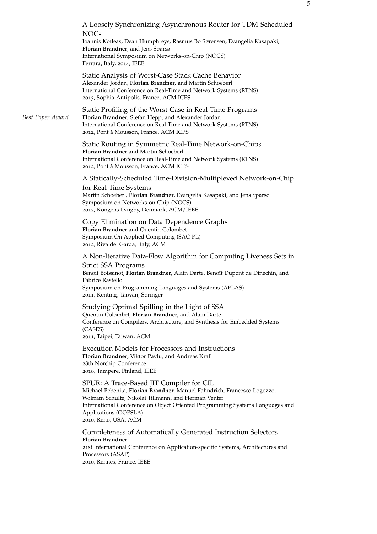|                  | A Loosely Synchronizing Asynchronous Router for TDM-Scheduled<br><b>NOCs</b><br>Ioannis Kotleas, Dean Humphreys, Rasmus Bo Sørensen, Evangelia Kasapaki,<br>Florian Brandner, and Jens Sparsø<br>International Symposium on Networks-on-Chip (NOCS)<br>Ferrara, Italy, 2014, IEEE                              |
|------------------|----------------------------------------------------------------------------------------------------------------------------------------------------------------------------------------------------------------------------------------------------------------------------------------------------------------|
|                  | Static Analysis of Worst-Case Stack Cache Behavior<br>Alexander Jordan, Florian Brandner, and Martin Schoeberl<br>International Conference on Real-Time and Network Systems (RTNS)<br>2013, Sophia-Antipolis, France, ACM ICPS                                                                                 |
| Best Paper Award | Static Profiling of the Worst-Case in Real-Time Programs<br>Florian Brandner, Stefan Hepp, and Alexander Jordan<br>International Conference on Real-Time and Network Systems (RTNS)<br>2012, Pont à Mousson, France, ACM ICPS                                                                                  |
|                  | Static Routing in Symmetric Real-Time Network-on-Chips<br>Florian Brandner and Martin Schoeberl<br>International Conference on Real-Time and Network Systems (RTNS)<br>2012, Pont à Mousson, France, ACM ICPS                                                                                                  |
|                  | A Statically-Scheduled Time-Division-Multiplexed Network-on-Chip<br>for Real-Time Systems<br>Martin Schoeberl, Florian Brandner, Evangelia Kasapaki, and Jens Sparsø<br>Symposium on Networks-on-Chip (NOCS)<br>2012, Kongens Lyngby, Denmark, ACM/IEEE                                                        |
|                  | Copy Elimination on Data Dependence Graphs<br>Florian Brandner and Quentin Colombet<br>Symposium On Applied Computing (SAC-PL)<br>2012, Riva del Garda, Italy, ACM                                                                                                                                             |
|                  | A Non-Iterative Data-Flow Algorithm for Computing Liveness Sets in<br><b>Strict SSA Programs</b><br>Benoit Boissinot, Florian Brandner, Alain Darte, Benoît Dupont de Dinechin, and<br>Fabrice Rastello<br>Symposium on Programming Languages and Systems (APLAS)<br>2011, Kenting, Taiwan, Springer           |
|                  | Studying Optimal Spilling in the Light of SSA<br>Quentin Colombet, Florian Brandner, and Alain Darte<br>Conference on Compilers, Architecture, and Synthesis for Embedded Systems<br>(CASES)<br>2011, Taipei, Taiwan, ACM                                                                                      |
|                  | <b>Execution Models for Processors and Instructions</b><br>Florian Brandner, Viktor Pavlu, and Andreas Krall<br>28th Norchip Conference<br>2010, Tampere, Finland, IEEE                                                                                                                                        |
|                  | SPUR: A Trace-Based JIT Compiler for CIL<br>Michael Bebenita, Florian Brandner, Manuel Fahndrich, Francesco Logozzo,<br>Wolfram Schulte, Nikolai Tillmann, and Herman Venter<br>International Conference on Object Oriented Programming Systems Languages and<br>Applications (OOPSLA)<br>2010, Reno, USA, ACM |
|                  | Completeness of Automatically Generated Instruction Selectors<br><b>Florian Brandner</b><br>21st International Conference on Application-specific Systems, Architectures and<br>Processors (ASAP)<br>2010, Rennes, France, IEEE                                                                                |
|                  |                                                                                                                                                                                                                                                                                                                |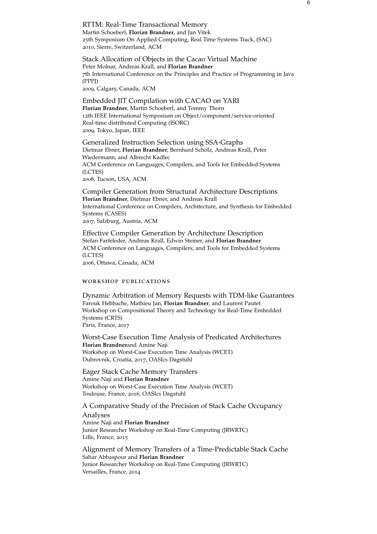RTTM: Real-Time Transactional Memory Martin Schoeberl, **Florian Brandner**, and Jan Vitek 25th Symposium On Applied Computing, Real Time Systems Track, (SAC) 2010, Sierre, Switzerland, ACM

Stack Allocation of Objects in the Cacao Virtual Machine Peter Molnar, Andreas Krall, and **Florian Brandner** 7th International Conference on the Principles and Practice of Programming in Java (PPPJ)

2009, Calgary, Canada, ACM

Embedded JIT Compilation with CACAO on YARI **Florian Brandner**, Martin Schoeberl, and Tommy Thorn 12th IEEE International Symposium on Object/component/service-oriented Real-time distributed Computing (ISORC) 2009, Tokyo, Japan, IEEE

Generalized Instruction Selection using SSA-Graphs Dietmar Ebner, **Florian Brandner**, Bernhard Scholz, Andreas Krall, Peter Wiedermann, and Albrecht Kadlec ACM Conference on Languages, Compilers, and Tools for Embedded Systems (LCTES) 2008, Tucson, USA, ACM

Compiler Generation from Structural Architecture Descriptions **Florian Brandner**, Dietmar Ebner, and Andreas Krall International Conference on Compilers, Architecture, and Synthesis for Embedded Systems (CASES) 2007, Salzburg, Austria, ACM

Effective Compiler Generation by Architecture Description Stefan Farfeleder, Andreas Krall, Edwin Steiner, and **Florian Brandner** ACM Conference on Languages, Compilers, and Tools for Embedded Systems (LCTES) 2006, Ottawa, Canada, ACM

#### workshop publications

Dynamic Arbitration of Memory Requests with TDM-like Guarantees Farouk Hebbache, Mathieu Jan, **Florian Brandner**, and Laurent Pautet Workshop on Compositional Theory and Technology for Real-Time Embedded Systems (CRTS) Paris, France, 2017

Worst-Case Execution Time Analysis of Predicated Architectures **Florian Brandner**and Amine Naji Workshop on Worst-Case Execution Time Analysis (WCET) Dubrovnik, Croatia, 2017, OASIcs Dagstuhl

Eager Stack Cache Memory Transfers Amine Naji and **Florian Brandner** Workshop on Worst-Case Execution Time Analysis (WCET) Toulouse, France, 2016, OASIcs Dagstuhl

A Comparative Study of the Precision of Stack Cache Occupancy Analyses Amine Naji and **Florian Brandner** Junior Researcher Workshop on Real-Time Computing (JRWRTC) Lille, France, 2015

Alignment of Memory Transfers of a Time-Predictable Stack Cache Sahar Abbaspour and **Florian Brandner** Junior Researcher Workshop on Real-Time Computing (JRWRTC) Versailles, France, 2014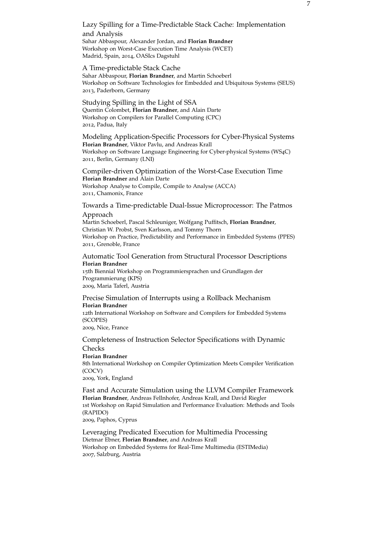# Lazy Spilling for a Time-Predictable Stack Cache: Implementation and Analysis Sahar Abbaspour, Alexander Jordan, and **Florian Brandner** Workshop on Worst-Case Execution Time Analysis (WCET)

Madrid, Spain, 2014, OASIcs Dagstuhl

#### A Time-predictable Stack Cache

Sahar Abbaspour, **Florian Brandner**, and Martin Schoeberl Workshop on Software Technologies for Embedded and Ubiquitous Systems (SEUS) 2013, Paderborn, Germany

## Studying Spilling in the Light of SSA Quentin Colombet, **Florian Brandner**, and Alain Darte Workshop on Compilers for Parallel Computing (CPC) 2012, Padua, Italy

Modeling Application-Specific Processors for Cyber-Physical Systems **Florian Brandner**, Viktor Pavlu, and Andreas Krall Workshop on Software Language Engineering for Cyber-physical Systems (WS4C) 2011, Berlin, Germany (LNI)

## Compiler-driven Optimization of the Worst-Case Execution Time **Florian Brandner** and Alain Darte Workshop Analyse to Compile, Compile to Analyse (ACCA) 2011, Chamonix, France

# Towards a Time-predictable Dual-Issue Microprocessor: The Patmos Approach

Martin Schoeberl, Pascal Schleuniger, Wolfgang Puffitsch, **Florian Brandner**, Christian W. Probst, Sven Karlsson, and Tommy Thorn Workshop on Practice, Predictability and Performance in Embedded Systems (PPES) 2011, Grenoble, France

## Automatic Tool Generation from Structural Processor Descriptions **Florian Brandner**

15th Biennial Workshop on Programmiersprachen und Grundlagen der Programmierung (KPS) 2009, Maria Taferl, Austria

## Precise Simulation of Interrupts using a Rollback Mechanism **Florian Brandner** 12th International Workshop on Software and Compilers for Embedded Systems

(SCOPES) 2009, Nice, France

Completeness of Instruction Selector Specifications with Dynamic Checks **Florian Brandner** 8th International Workshop on Compiler Optimization Meets Compiler Verification (COCV)

2009, York, England

Fast and Accurate Simulation using the LLVM Compiler Framework **Florian Brandner**, Andreas Fellnhofer, Andreas Krall, and David Riegler 1st Workshop on Rapid Simulation and Performance Evaluation: Methods and Tools (RAPIDO)

2009, Paphos, Cyprus

Leveraging Predicated Execution for Multimedia Processing Dietmar Ebner, **Florian Brandner**, and Andreas Krall Workshop on Embedded Systems for Real-Time Multimedia (ESTIMedia) 2007, Salzburg, Austria